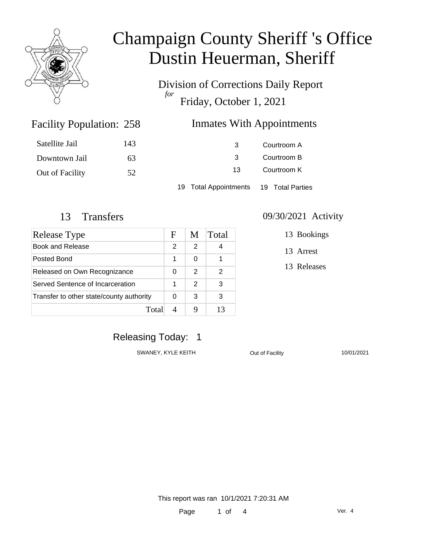

Division of Corrections Daily Report *for* Friday, October 1, 2021

### Inmates With Appointments

| Satellite Jail  | 143 | 3                     | Courtroom A      |
|-----------------|-----|-----------------------|------------------|
| Downtown Jail   | 63  |                       | Courtroom B      |
| Out of Facility | 52  | 13                    | Courtroom K      |
|                 |     | 19 Total Appointments | 19 Total Parties |

Facility Population: 258

| Release Type                             | F | M             | Total |
|------------------------------------------|---|---------------|-------|
| <b>Book and Release</b>                  | 2 | 2             |       |
| Posted Bond                              |   | 0             |       |
| Released on Own Recognizance             |   | $\mathcal{P}$ | 2     |
| Served Sentence of Incarceration         |   | 2             | 3     |
| Transfer to other state/county authority |   | 3             | 3     |
| Total                                    |   |               | 13    |

#### 13 Transfers 09/30/2021 Activity

13 Bookings

13 Arrest

13 Releases

### Releasing Today: 1

SWANEY, KYLE KEITH **Out of Facility** 10/01/2021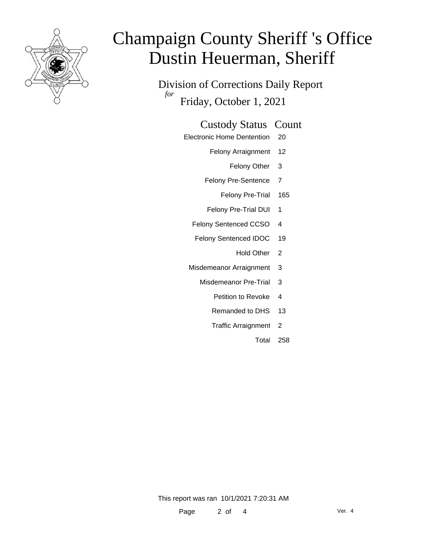

Division of Corrections Daily Report *for* Friday, October 1, 2021

#### Custody Status Count

- Electronic Home Dentention 20
	- Felony Arraignment 12
		- Felony Other 3
	- Felony Pre-Sentence 7
		- Felony Pre-Trial 165
	- Felony Pre-Trial DUI 1
	- Felony Sentenced CCSO 4
	- Felony Sentenced IDOC 19
		- Hold Other<sub>2</sub>
	- Misdemeanor Arraignment 3
		- Misdemeanor Pre-Trial 3
			- Petition to Revoke 4
			- Remanded to DHS 13
			- Traffic Arraignment 2
				- Total 258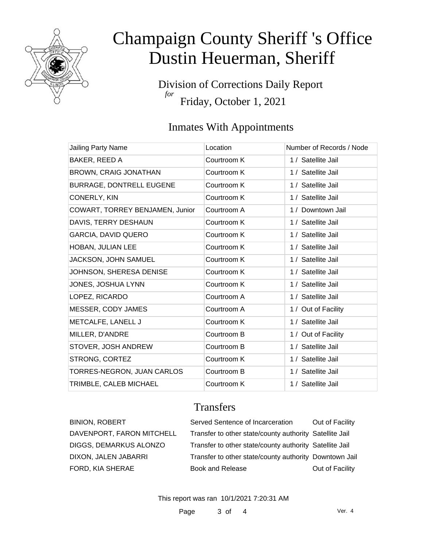

Division of Corrections Daily Report *for* Friday, October 1, 2021

## Inmates With Appointments

| Jailing Party Name              | Location    | Number of Records / Node |
|---------------------------------|-------------|--------------------------|
| BAKER, REED A                   | Courtroom K | 1 / Satellite Jail       |
| <b>BROWN, CRAIG JONATHAN</b>    | Courtroom K | 1 / Satellite Jail       |
| BURRAGE, DONTRELL EUGENE        | Courtroom K | 1 / Satellite Jail       |
| CONERLY, KIN                    | Courtroom K | 1 / Satellite Jail       |
| COWART, TORREY BENJAMEN, Junior | Courtroom A | 1 / Downtown Jail        |
| DAVIS, TERRY DESHAUN            | Courtroom K | 1 / Satellite Jail       |
| <b>GARCIA, DAVID QUERO</b>      | Courtroom K | 1 / Satellite Jail       |
| HOBAN, JULIAN LEE               | Courtroom K | 1 / Satellite Jail       |
| JACKSON, JOHN SAMUEL            | Courtroom K | 1 / Satellite Jail       |
| JOHNSON, SHERESA DENISE         | Courtroom K | 1 / Satellite Jail       |
| JONES, JOSHUA LYNN              | Courtroom K | 1 / Satellite Jail       |
| LOPEZ, RICARDO                  | Courtroom A | 1 / Satellite Jail       |
| MESSER, CODY JAMES              | Courtroom A | 1 / Out of Facility      |
| METCALFE, LANELL J              | Courtroom K | 1 / Satellite Jail       |
| MILLER, D'ANDRE                 | Courtroom B | 1 / Out of Facility      |
| STOVER, JOSH ANDREW             | Courtroom B | 1 / Satellite Jail       |
| STRONG, CORTEZ                  | Courtroom K | 1 / Satellite Jail       |
| TORRES-NEGRON, JUAN CARLOS      | Courtroom B | 1 / Satellite Jail       |
| TRIMBLE, CALEB MICHAEL          | Courtroom K | 1 / Satellite Jail       |

### **Transfers**

| <b>BINION, ROBERT</b>     | Served Sentence of Incarceration                        | Out of Facility |
|---------------------------|---------------------------------------------------------|-----------------|
| DAVENPORT, FARON MITCHELL | Transfer to other state/county authority Satellite Jail |                 |
| DIGGS, DEMARKUS ALONZO    | Transfer to other state/county authority Satellite Jail |                 |
| DIXON, JALEN JABARRI      | Transfer to other state/county authority Downtown Jail  |                 |
| FORD, KIA SHERAE          | <b>Book and Release</b>                                 | Out of Facility |